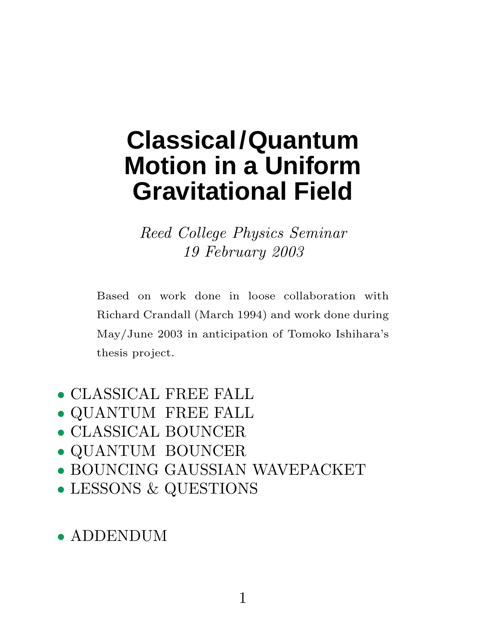# **Classical/Quantum Motion in a Uniform Gravitational Field**

Reed College Physics Seminar 19 February 2003

Based on work done in loose collaboration with Richard Crandall (March 1994) and work done during May/June 2003 in anticipation of Tomoko Ishihara's thesis project.

- CLASSICAL FREE FALL
- QUANTUM FREE FALL
- CLASSICAL BOUNCER
- QUANTUM BOUNCER
- BOUNCING GAUSSIAN WAVEPACKET
- LESSONS & QUESTIONS

## • ADDENDUM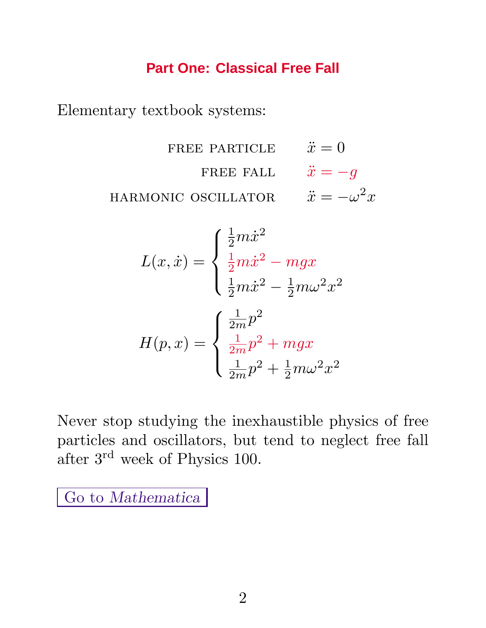## **Part One: Classical Free Fall**

Elementary textbook systems:

FREE PARTICLE  $\ddot{x} = 0$ FREE FALL  $\ddot{x} = -g$ HARMONIC OSCILLATOR  $\ddot{x} = -\omega^2 x$ 

$$
L(x, \dot{x}) = \begin{cases} \frac{1}{2}m\dot{x}^2\\ \frac{1}{2}m\dot{x}^2 - mgx\\ \frac{1}{2}m\dot{x}^2 - \frac{1}{2}m\omega^2x^2 \end{cases}
$$

$$
H(p, x) = \begin{cases} \frac{1}{2m}p^2\\ \frac{1}{2m}p^2 + mgx\\ \frac{1}{2m}p^2 + \frac{1}{2}m\omega^2x^2 \end{cases}
$$

Never stop studying the inexhaustible physics of free particles and oscillators, but tend to neglect free fall after 3rd week of Physics 100.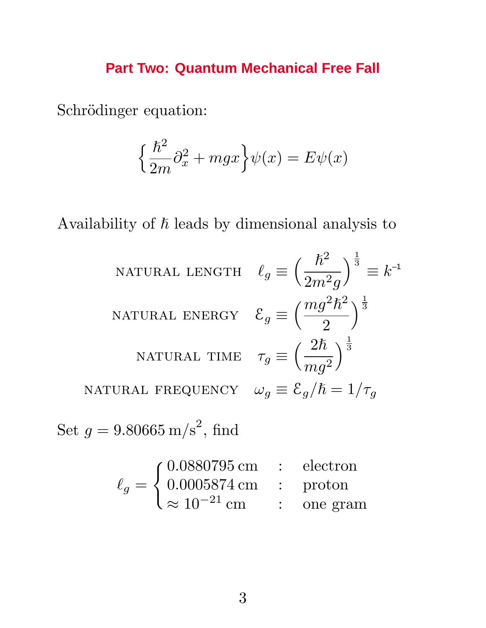## **Part Two: Quantum Mechanical Free Fall**

Schrödinger equation:

$$
\left\{\frac{\hbar^2}{2m}\partial_x^2 + mgx\right\}\psi(x) = E\psi(x)
$$

Availability of  $\hbar$  leads by dimensional analysis to

NATURAL LENGTH 
$$
\ell_g \equiv \left(\frac{\hbar^2}{2m^2g}\right)^{\frac{1}{3}} \equiv k^{-1}
$$
  
\nNATURAL Energy  $\mathcal{E}_g \equiv \left(\frac{mg^2\hbar^2}{2}\right)^{\frac{1}{3}}$   
\nNATURAL TIME  $\tau_g \equiv \left(\frac{2\hbar}{mg^2}\right)^{\frac{1}{3}}$   
\nNATURAL FREQUENCY  $\omega_g \equiv \mathcal{E}_g/\hbar = 1/\tau_g$   
\n $a = 9.80665 \text{ m/s}^2 \text{ find}$ 

Set  $g = 9.80665 \text{ m/s}^2$ , find

$$
\ell_g = \begin{cases} 0.0880795 \,\text{cm} & : \text{ electron} \\ 0.0005874 \,\text{cm} & : \text{proton} \\ \approx 10^{-21} \,\text{cm} & : \text{one gram} \end{cases}
$$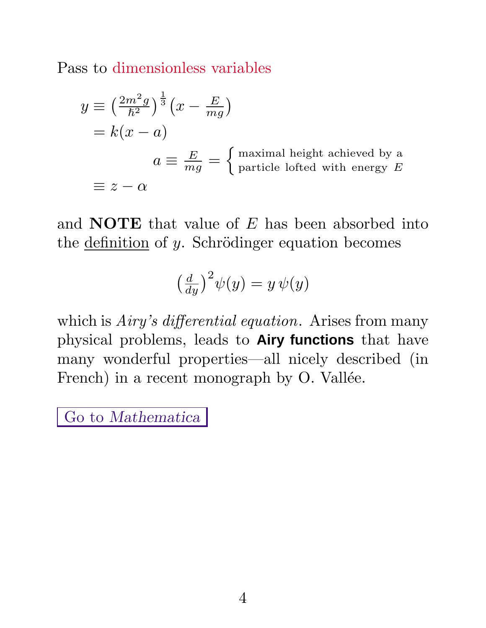Pass to dimensionless variables

$$
y \equiv \left(\frac{2m^2g}{\hbar^2}\right)^{\frac{1}{3}} \left(x - \frac{E}{mg}\right)
$$
  
=  $k(x - a)$   

$$
a \equiv \frac{E}{mg} = \begin{cases} \text{maximal height achieved by a} \\ \text{particle lofted with energy } E \end{cases}
$$
  

$$
\equiv z - \alpha
$$

and **NOTE** that value of *E* has been absorbed into the  $definition of y.$  Schrödinger equation becomes

$$
\left(\frac{d}{dy}\right)^2 \psi(y) = y \psi(y)
$$

which is *Airy's differential equation*. Arises from many physical problems, leads to **Airy functions** that have many wonderful properties—all nicely described (in French) in a recent monograph by O. Vallée.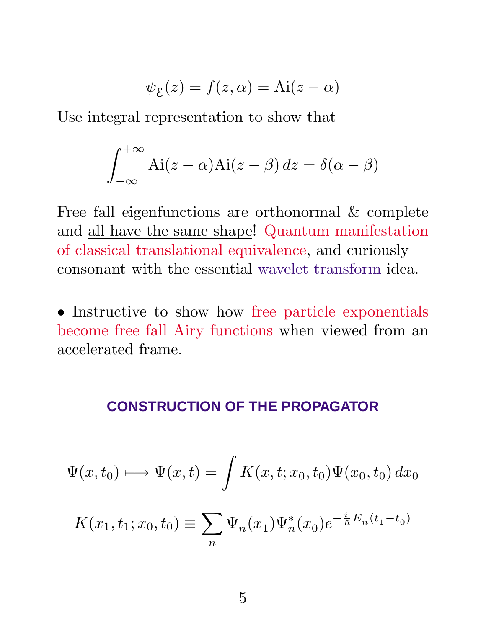$$
\psi_{\mathcal{E}}(z) = f(z, \alpha) = \text{Ai}(z - \alpha)
$$

Use integral representation to show that

$$
\int_{-\infty}^{+\infty} Ai(z - \alpha) Ai(z - \beta) dz = \delta(\alpha - \beta)
$$

Free fall eigenfunctions are orthonormal & complete and all have the same shape! Quantum manifestation of classical translational equivalence, and curiously consonant with the essential wavelet transform idea.

• Instructive to show how free particle exponentials become free fall Airy functions when viewed from an accelerated frame.

#### **CONSTRUCTION OF THE PROPAGATOR**

$$
\Psi(x, t_0) \longmapsto \Psi(x, t) = \int K(x, t; x_0, t_0) \Psi(x_0, t_0) dx_0
$$

$$
K(x_1, t_1; x_0, t_0) \equiv \sum_n \Psi_n(x_1) \Psi_n^*(x_0) e^{-\frac{i}{\hbar} E_n(t_1 - t_0)}
$$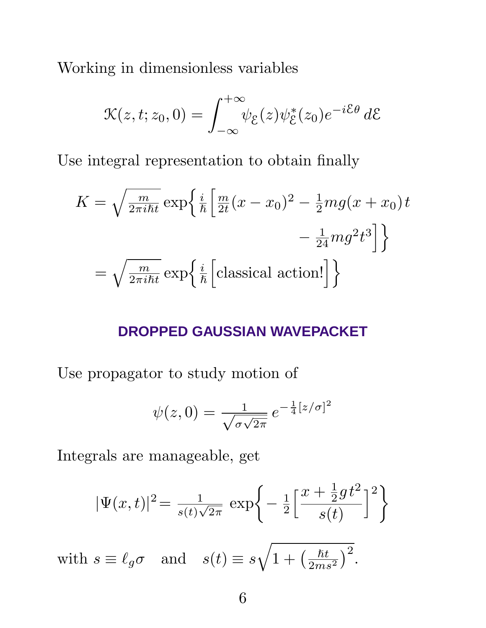Working in dimensionless variables

$$
\mathcal{K}(z,t;z_0,0) = \int_{-\infty}^{+\infty} \psi_{\xi}(z)\psi_{\xi}^*(z_0)e^{-i\mathcal{E}\theta} d\mathcal{E}
$$

Use integral representation to obtain finally

$$
K = \sqrt{\frac{m}{2\pi i\hbar t}} \exp\left\{\frac{i}{\hbar} \left[\frac{m}{2t}(x - x_0)^2 - \frac{1}{2}mg(x + x_0)t - \frac{1}{24}mg^2t^3\right]\right\}
$$

$$
= \sqrt{\frac{m}{2\pi i\hbar t}} \exp\left\{\frac{i}{\hbar} \left[\text{classical action!}\right]\right\}
$$

#### **DROPPED GAUSSIAN WAVEPACKET**

Use propagator to study motion of

$$
\psi(z,0) = \frac{1}{\sqrt{\sigma\sqrt{2\pi}}} e^{-\frac{1}{4}[z/\sigma]^2}
$$

Integrals are manageable, get

$$
|\Psi(x,t)|^2 = \frac{1}{s(t)\sqrt{2\pi}} \exp\left\{-\frac{1}{2}\left[\frac{x+\frac{1}{2}gt^2}{s(t)}\right]^2\right\}
$$
  
with  $s \equiv \ell_g \sigma$  and  $s(t) \equiv s\sqrt{1 + \left(\frac{\hbar t}{2ms^2}\right)^2}$ .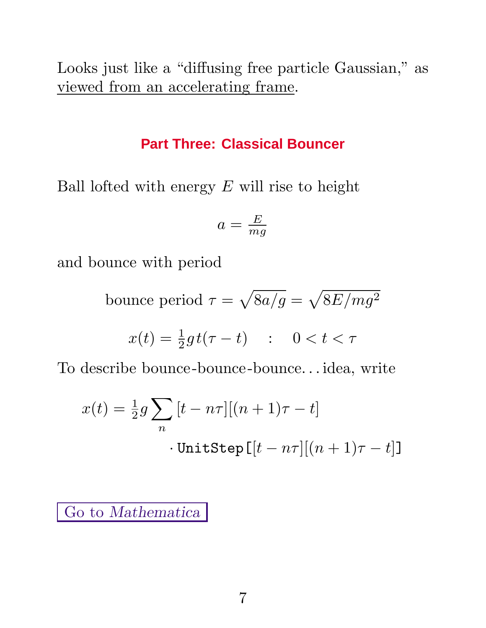Looks just like a "diffusing free particle Gaussian," as viewed from an accelerating frame.

#### **Part Three: Classical Bouncer**

Ball lofted with energy *E* will rise to height

$$
a=\tfrac{E}{mg}
$$

and bounce with period

bounce period  $\tau = \sqrt{8a/g} = \sqrt{8E/mg^2}$ 

$$
x(t) = \frac{1}{2}gt(\tau - t) \quad : \quad 0 < t < \tau
$$

To describe bounce-bounce-bounce*...* idea, write

$$
x(t) = \frac{1}{2}g \sum_{n} [t - n\tau][(n+1)\tau - t]
$$
  
• UnitStep  $[t - n\tau][(n+1)\tau - t]$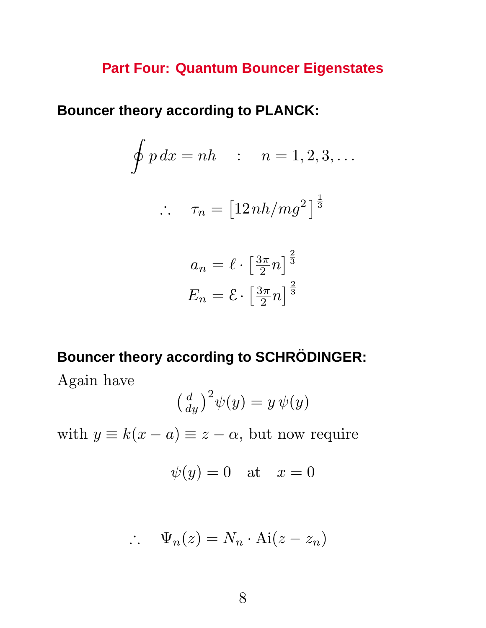## **Part Four: Quantum Bouncer Eigenstates**

**Bouncer theory according to PLANCK:**

$$
\oint p \, dx = nh \quad : \quad n = 1, 2, 3, \dots
$$
\n
$$
\therefore \quad \tau_n = \left[12 \, nh / mg^2\right]^{\frac{1}{3}}
$$

$$
a_n = \ell \cdot \left[\frac{3\pi}{2}n\right]^{\frac{2}{3}}
$$

$$
E_n = \mathcal{E} \cdot \left[\frac{3\pi}{2}n\right]^{\frac{2}{3}}
$$

## **Bouncer theory according to SCHRÖDINGER:**

Again have

$$
\left(\frac{d}{dy}\right)^2 \psi(y) = y \psi(y)
$$

with  $y \equiv k(x - a) \equiv z - a$ , but now require

$$
\psi(y)=0 \quad \text{at} \quad x=0
$$

$$
\therefore \quad \Psi_n(z) = N_n \cdot \text{Ai}(z - z_n)
$$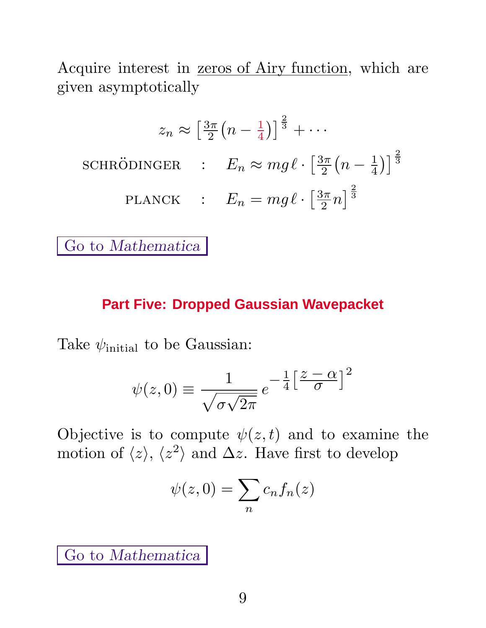Acquire interest in <u>zeros of Airy function</u>, which are given asymptotically

$$
z_n \approx \left[\frac{3\pi}{2}\left(n - \frac{1}{4}\right)\right]^{\frac{2}{3}} + \cdots
$$
  
SCHRÖDINGER :  $E_n \approx mg\ell \cdot \left[\frac{3\pi}{2}\left(n - \frac{1}{4}\right)\right]^{\frac{2}{3}}$   
PLANCK :  $E_n = mg\ell \cdot \left[\frac{3\pi}{2}n\right]^{\frac{2}{3}}$ 

Go to *Mathematica*

### **Part Five: Dropped Gaussian Wavepacket**

Take  $\psi$ <sub>initial</sub> to be Gaussian:

$$
\psi(z,0) \equiv \frac{1}{\sqrt{\sigma\sqrt{2\pi}}} e^{-\frac{1}{4}\left[\frac{z-\alpha}{\sigma}\right]^2}
$$

Objective is to compute  $\psi(z,t)$  and to examine the motion of  $\langle z \rangle$ ,  $\langle z^2 \rangle$  and  $\Delta z$ . Have first to develop

$$
\psi(z,0) = \sum_n c_n f_n(z)
$$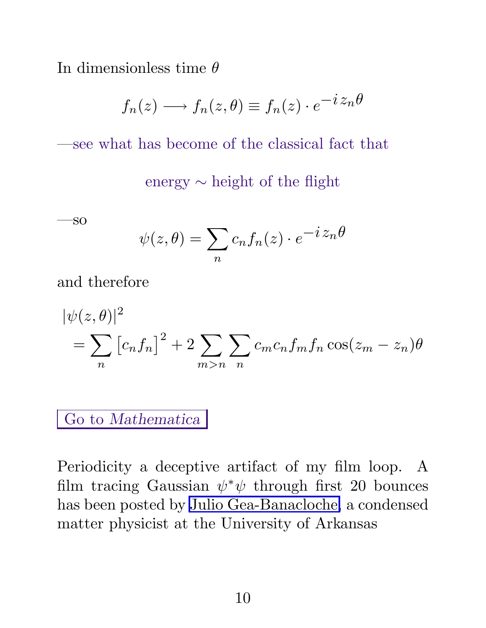In dimensionless time *θ*

$$
f_n(z) \longrightarrow f_n(z,\theta) \equiv f_n(z) \cdot e^{-i z_n \theta}
$$

—see what has become of the classical fact that

energy ∼ height of the flight

—so

$$
\psi(z,\theta) = \sum_{n} c_n f_n(z) \cdot e^{-i z_n \theta}
$$

and therefore

$$
|\psi(z,\theta)|^2
$$
  
=  $\sum_n [c_n f_n]^2 + 2 \sum_{m>n} \sum_n c_m c_n f_m f_n \cos(z_m - z_n) \theta$ 

Go to *Mathematica*

Periodicity a deceptive artifact of my film loop. A film tracing Gaussian  $\psi^*\psi$  through first 20 bounces has been posted by[Julio Gea-Banacloche,](http://www.uark.edu/misc/julio/bouncing_ball/bouncing_ball.html) a condensed matter physicist at the University of Arkansas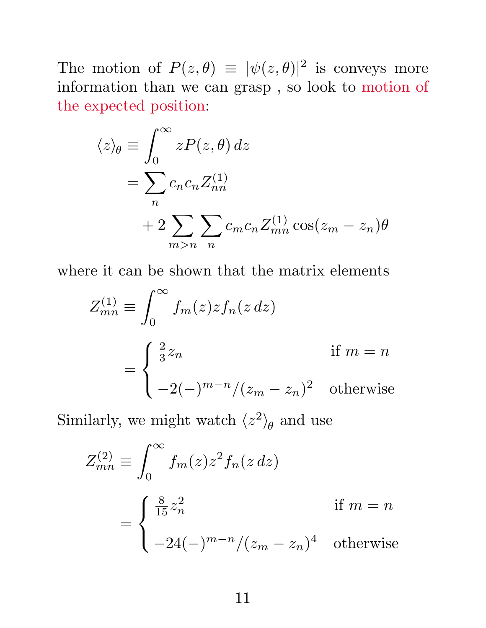The motion of  $P(z, \theta) \equiv |\psi(z, \theta)|^2$  is conveys more information than we can grasp , so look to motion of the expected position:

$$
\langle z \rangle_{\theta} \equiv \int_0^{\infty} z P(z, \theta) dz
$$
  
= 
$$
\sum_n c_n c_n Z_{nn}^{(1)}
$$
  
+ 
$$
2 \sum_{m>n} \sum_n c_m c_n Z_{mn}^{(1)} \cos(z_m - z_n) \theta
$$

where it can be shown that the matrix elements

$$
Z_{mn}^{(1)} \equiv \int_0^\infty f_m(z) z f_n(z \, dz)
$$
  
= 
$$
\begin{cases} \frac{2}{3} z_n & \text{if } m = n \\ -2(-)^{m-n} / (z_m - z_n)^2 & \text{otherwise} \end{cases}
$$

Similarly, we might watch  $\langle z^2 \rangle_{\theta}$  and use

$$
Z_{mn}^{(2)} \equiv \int_0^\infty f_m(z) z^2 f_n(z dz)
$$
  
= 
$$
\begin{cases} \frac{8}{15} z_n^2 & \text{if } m = n \\ -24(-)^{m-n} / (z_m - z_n)^4 & \text{otherwise} \end{cases}
$$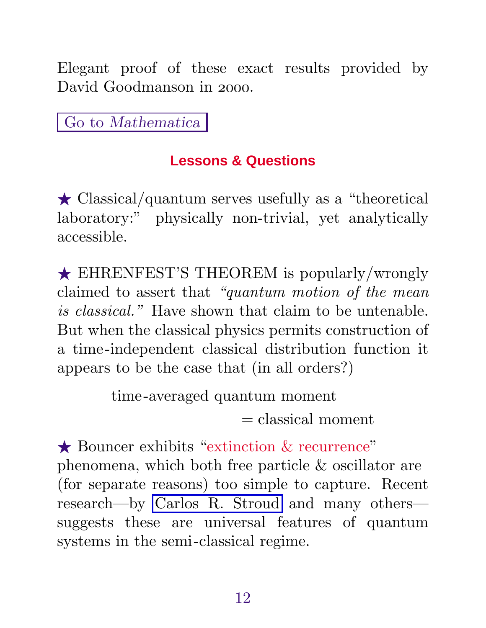Elegant proof of these exact results provided by David Goodmanson in 2000.

Go to *Mathematica*

# **Lessons & Questions**

 $\star$  Classical/quantum serves usefully as a "theoretical" laboratory:" physically non-trivial, yet analytically accessible.

★ EHRENFEST'S THEOREM is popularly/wrongly claimed to assert that "quantum motion of the mean is classical." Have shown that claim to be untenable. But when the classical physics permits construction of a time-independent classical distribution function it appears to be the case that (in all orders?)

> time-averaged quantum moment  $=$  classical moment

★ Bouncer exhibits "extinction & recurrence" phenomena, which both free particle & oscillator are (for separate reasons) too simple to capture. Recent research—by [Carlos R. Stroud](www.optics.rochester.edu:8080/users/stroud/wavepacket/quantum.html) and many others suggests these are universal features of quantum systems in the semi-classical regime.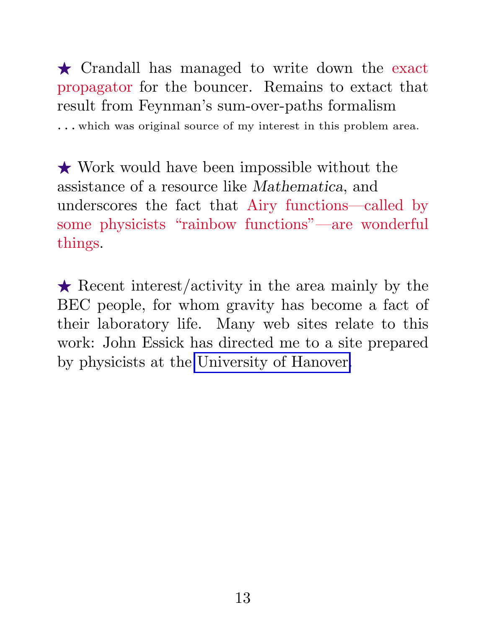- Crandall has managed to write down the exact propagator for the bouncer. Remains to extact that result from Feynman's sum-over-paths formalism *...* which was original source of my interest in this problem area.

 $\bigstar$  Work would have been impossible without the assistance of a resource like *Mathematica*, and underscores the fact that Airy functions—called by some physicists "rainbow functions"—are wonderful things.

 $\star$  Recent interest/activity in the area mainly by the BEC people, for whom gravity has become a fact of their laboratory life. Many web sites relate to this work: John Essick has directed me to a site prepared by physicists at the University of Hanover.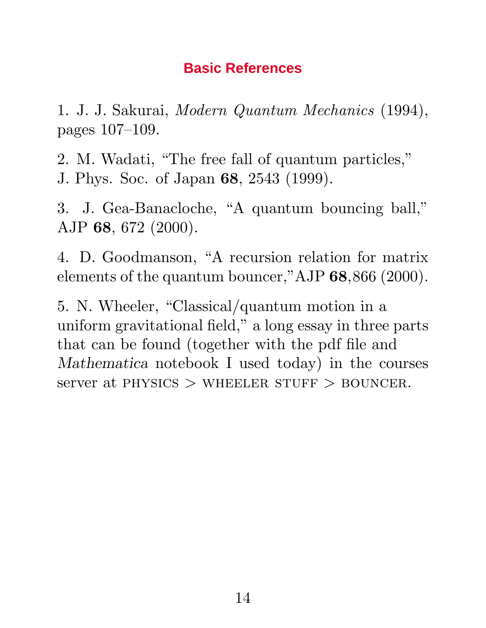## **Basic References**

1. J. J. Sakurai, Modern Quantum Mechanics (1994), pages 107–109.

2. M. Wadati, "The free fall of quantum particles," J. Phys. Soc. of Japan **68**, 2543 (1999).

3. J. Gea-Banacloche, "A quantum bouncing ball," AJP **68**, 672 (2000).

4. D. Goodmanson, "A recursion relation for matrix elements of the quantum bouncer,"AJP **68**,866 (2000).

5. N. Wheeler, "Classical/quantum motion in a uniform gravitational field," a long essay in three parts that can be found (together with the pdf file and *Mathematica* notebook I used today) in the courses server at PHYSICS > WHEELER STUFF > BOUNCER.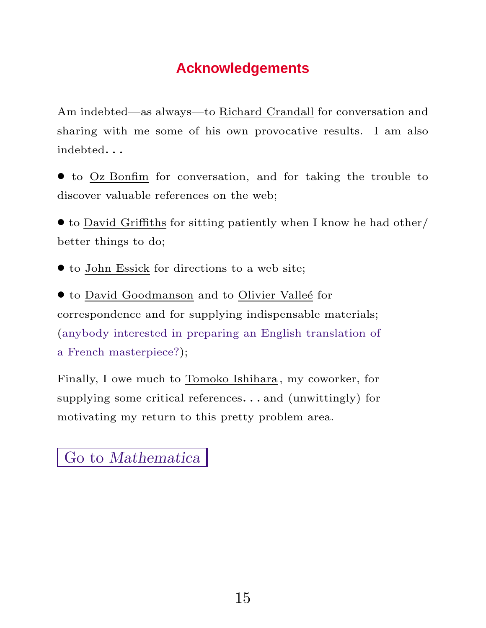## **Acknowledgements**

Am indebted—as always—to Richard Crandall for conversation and sharing with me some of his own provocative results. I am also indebted*...*

• to Oz Bonfim for conversation, and for taking the trouble to discover valuable references on the web;

• to David Griffiths for sitting patiently when I know he had other/ better things to do;

• to John Essick for directions to a web site;

• to David Goodmanson and to Olivier Valleé for correspondence and for supplying indispensable materials; (anybody interested in preparing an English translation of a French masterpiece?);

Finally, I owe much to Tomoko Ishihara , my coworker, for supplying some critical references*...* and (unwittingly) for motivating my return to this pretty problem area.